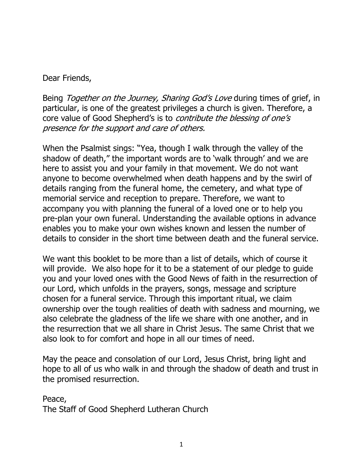Dear Friends,

Being Together on the Journey, Sharing God's Love during times of grief, in particular, is one of the greatest privileges a church is given. Therefore, a core value of Good Shepherd's is to *contribute the blessing of one's* presence for the support and care of others.

When the Psalmist sings: "Yea, though I walk through the valley of the shadow of death," the important words are to 'walk through' and we are here to assist you and your family in that movement. We do not want anyone to become overwhelmed when death happens and by the swirl of details ranging from the funeral home, the cemetery, and what type of memorial service and reception to prepare. Therefore, we want to accompany you with planning the funeral of a loved one or to help you pre-plan your own funeral. Understanding the available options in advance enables you to make your own wishes known and lessen the number of details to consider in the short time between death and the funeral service.

We want this booklet to be more than a list of details, which of course it will provide. We also hope for it to be a statement of our pledge to guide you and your loved ones with the Good News of faith in the resurrection of our Lord, which unfolds in the prayers, songs, message and scripture chosen for a funeral service. Through this important ritual, we claim ownership over the tough realities of death with sadness and mourning, we also celebrate the gladness of the life we share with one another, and in the resurrection that we all share in Christ Jesus. The same Christ that we also look to for comfort and hope in all our times of need.

May the peace and consolation of our Lord, Jesus Christ, bring light and hope to all of us who walk in and through the shadow of death and trust in the promised resurrection.

Peace, The Staff of Good Shepherd Lutheran Church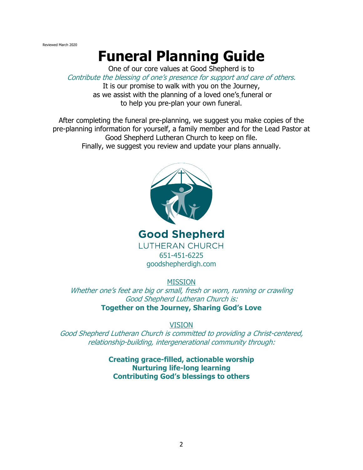# **Funeral Planning Guide**

One of our core values at Good Shepherd is to Contribute the blessing of one's presence for support and care of others. It is our promise to walk with you on the Journey, as we assist with the planning of a loved one's funeral or

to help you pre-plan your own funeral.

After completing the funeral pre-planning, we suggest you make copies of the pre-planning information for yourself, a family member and for the Lead Pastor at Good Shepherd Lutheran Church to keep on file. Finally, we suggest you review and update your plans annually.



**Good Shepherd LUTHERAN CHURCH** 651-451-6225 goodshepherdigh.com

#### MISSION

Whether one's feet are big or small, fresh or worn, running or crawling Good Shepherd Lutheran Church is: **Together on the Journey, Sharing God's Love**

VISION

Good Shepherd Lutheran Church is committed to providing a Christ-centered, relationship-building, intergenerational community through:

> **Creating grace-filled, actionable worship Nurturing life-long learning Contributing God's blessings to others**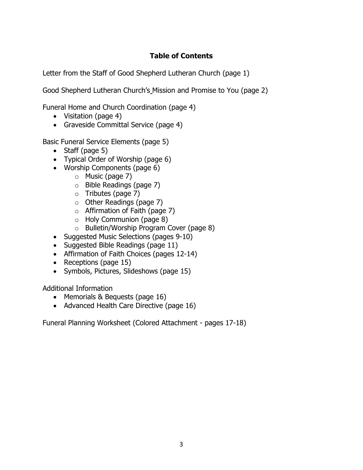# **Table of Contents**

Letter from the Staff of Good Shepherd Lutheran Church (page 1)

Good Shepherd Lutheran Church's Mission and Promise to You (page 2)

Funeral Home and Church Coordination (page 4)

- Visitation (page 4)
- Graveside Committal Service (page 4)

Basic Funeral Service Elements (page 5)

- Staff (page 5)
- Typical Order of Worship (page 6)
- Worship Components (page 6)
	- o Music (page 7)
	- o Bible Readings (page 7)
	- $\circ$  Tributes (page 7)
	- o Other Readings (page 7)
	- o Affirmation of Faith (page 7)
	- o Holy Communion (page 8)
	- o Bulletin/Worship Program Cover (page 8)
- Suggested Music Selections (pages 9-10)
- Suggested Bible Readings (page 11)
- Affirmation of Faith Choices (pages 12-14)
- Receptions (page 15)
- Symbols, Pictures, Slideshows (page 15)

Additional Information

- Memorials & Bequests (page 16)
- Advanced Health Care Directive (page 16)

Funeral Planning Worksheet (Colored Attachment - pages 17-18)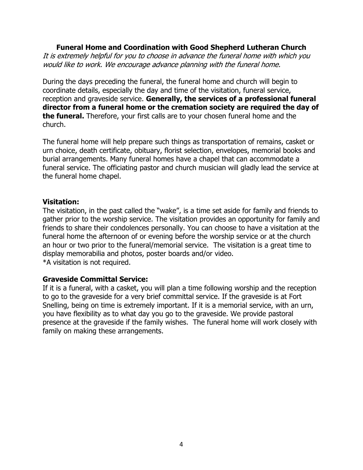# **Funeral Home and Coordination with Good Shepherd Lutheran Church**

It is extremely helpful for you to choose in advance the funeral home with which you would like to work. We encourage advance planning with the funeral home.

During the days preceding the funeral, the funeral home and church will begin to coordinate details, especially the day and time of the visitation, funeral service, reception and graveside service. **Generally, the services of a professional funeral director from a funeral home or the cremation society are required the day of the funeral.** Therefore, your first calls are to your chosen funeral home and the church.

The funeral home will help prepare such things as transportation of remains, casket or urn choice, death certificate, obituary, florist selection, envelopes, memorial books and burial arrangements. Many funeral homes have a chapel that can accommodate a funeral service. The officiating pastor and church musician will gladly lead the service at the funeral home chapel.

## **Visitation:**

The visitation, in the past called the "wake", is a time set aside for family and friends to gather prior to the worship service. The visitation provides an opportunity for family and friends to share their condolences personally. You can choose to have a visitation at the funeral home the afternoon of or evening before the worship service or at the church an hour or two prior to the funeral/memorial service. The visitation is a great time to display memorabilia and photos, poster boards and/or video. \*A visitation is not required.

## **Graveside Committal Service:**

If it is a funeral, with a casket, you will plan a time following worship and the reception to go to the graveside for a very brief committal service. If the graveside is at Fort Snelling, being on time is extremely important. If it is a memorial service, with an urn, you have flexibility as to what day you go to the graveside. We provide pastoral presence at the graveside if the family wishes. The funeral home will work closely with family on making these arrangements.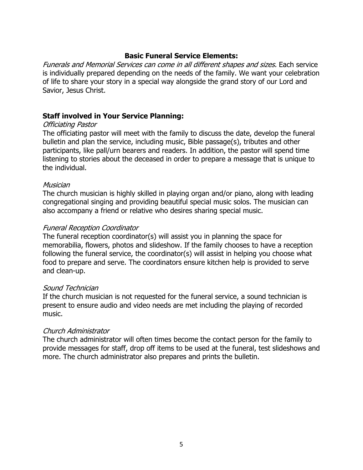## **Basic Funeral Service Elements:**

Funerals and Memorial Services can come in all different shapes and sizes. Each service is individually prepared depending on the needs of the family. We want your celebration of life to share your story in a special way alongside the grand story of our Lord and Savior, Jesus Christ.

#### **Staff involved in Your Service Planning:**

#### Officiating Pastor

The officiating pastor will meet with the family to discuss the date, develop the funeral bulletin and plan the service, including music, Bible passage(s), tributes and other participants, like pall/urn bearers and readers. In addition, the pastor will spend time listening to stories about the deceased in order to prepare a message that is unique to the individual.

#### Musician

The church musician is highly skilled in playing organ and/or piano, along with leading congregational singing and providing beautiful special music solos. The musician can also accompany a friend or relative who desires sharing special music.

## Funeral Reception Coordinator

The funeral reception coordinator(s) will assist you in planning the space for memorabilia, flowers, photos and slideshow. If the family chooses to have a reception following the funeral service, the coordinator(s) will assist in helping you choose what food to prepare and serve. The coordinators ensure kitchen help is provided to serve and clean-up.

#### Sound Technician

If the church musician is not requested for the funeral service, a sound technician is present to ensure audio and video needs are met including the playing of recorded music.

## Church Administrator

The church administrator will often times become the contact person for the family to provide messages for staff, drop off items to be used at the funeral, test slideshows and more. The church administrator also prepares and prints the bulletin.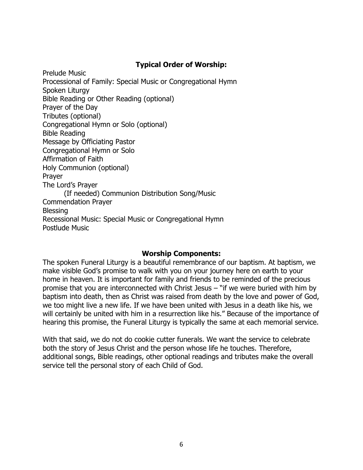# **Typical Order of Worship:**

Prelude Music Processional of Family: Special Music or Congregational Hymn Spoken Liturgy Bible Reading or Other Reading (optional) Prayer of the Day Tributes (optional) Congregational Hymn or Solo (optional) Bible Reading Message by Officiating Pastor Congregational Hymn or Solo Affirmation of Faith Holy Communion (optional) Prayer The Lord's Prayer (If needed) Communion Distribution Song/Music Commendation Prayer Blessing Recessional Music: Special Music or Congregational Hymn Postlude Music

## **Worship Components:**

The spoken Funeral Liturgy is a beautiful remembrance of our baptism. At baptism, we make visible God's promise to walk with you on your journey here on earth to your home in heaven. It is important for family and friends to be reminded of the precious promise that you are interconnected with Christ Jesus – "if we were buried with him by baptism into death, then as Christ was raised from death by the love and power of God, we too might live a new life. If we have been united with Jesus in a death like his, we will certainly be united with him in a resurrection like his." Because of the importance of hearing this promise, the Funeral Liturgy is typically the same at each memorial service.

With that said, we do not do cookie cutter funerals. We want the service to celebrate both the story of Jesus Christ and the person whose life he touches. Therefore, additional songs, Bible readings, other optional readings and tributes make the overall service tell the personal story of each Child of God.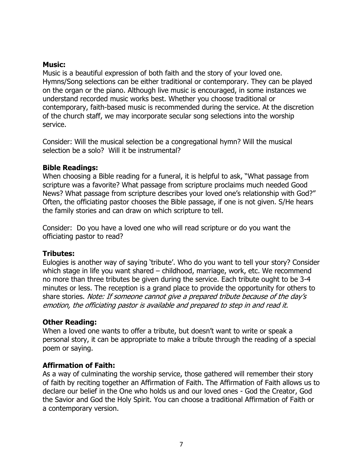## **Music:**

Music is a beautiful expression of both faith and the story of your loved one. Hymns/Song selections can be either traditional or contemporary. They can be played on the organ or the piano. Although live music is encouraged, in some instances we understand recorded music works best. Whether you choose traditional or contemporary, faith-based music is recommended during the service. At the discretion of the church staff, we may incorporate secular song selections into the worship service.

Consider: Will the musical selection be a congregational hymn? Will the musical selection be a solo? Will it be instrumental?

#### **Bible Readings:**

When choosing a Bible reading for a funeral, it is helpful to ask, "What passage from scripture was a favorite? What passage from scripture proclaims much needed Good News? What passage from scripture describes your loved one's relationship with God?" Often, the officiating pastor chooses the Bible passage, if one is not given. S/He hears the family stories and can draw on which scripture to tell.

Consider: Do you have a loved one who will read scripture or do you want the officiating pastor to read?

## **Tributes:**

Eulogies is another way of saying 'tribute'. Who do you want to tell your story? Consider which stage in life you want shared – childhood, marriage, work, etc. We recommend no more than three tributes be given during the service. Each tribute ought to be 3-4 minutes or less. The reception is a grand place to provide the opportunity for others to share stories. Note: If someone cannot give a prepared tribute because of the day's emotion, the officiating pastor is available and prepared to step in and read it.

## **Other Reading:**

When a loved one wants to offer a tribute, but doesn't want to write or speak a personal story, it can be appropriate to make a tribute through the reading of a special poem or saying.

## **Affirmation of Faith:**

As a way of culminating the worship service, those gathered will remember their story of faith by reciting together an Affirmation of Faith. The Affirmation of Faith allows us to declare our belief in the One who holds us and our loved ones - God the Creator, God the Savior and God the Holy Spirit. You can choose a traditional Affirmation of Faith or a contemporary version.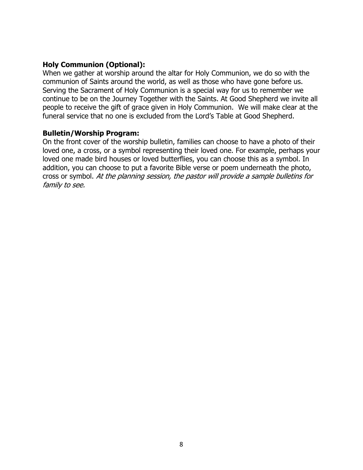## **Holy Communion (Optional):**

When we gather at worship around the altar for Holy Communion, we do so with the communion of Saints around the world, as well as those who have gone before us. Serving the Sacrament of Holy Communion is a special way for us to remember we continue to be on the Journey Together with the Saints. At Good Shepherd we invite all people to receive the gift of grace given in Holy Communion. We will make clear at the funeral service that no one is excluded from the Lord's Table at Good Shepherd.

## **Bulletin/Worship Program:**

On the front cover of the worship bulletin, families can choose to have a photo of their loved one, a cross, or a symbol representing their loved one. For example, perhaps your loved one made bird houses or loved butterflies, you can choose this as a symbol. In addition, you can choose to put a favorite Bible verse or poem underneath the photo, cross or symbol. At the planning session, the pastor will provide a sample bulletins for family to see.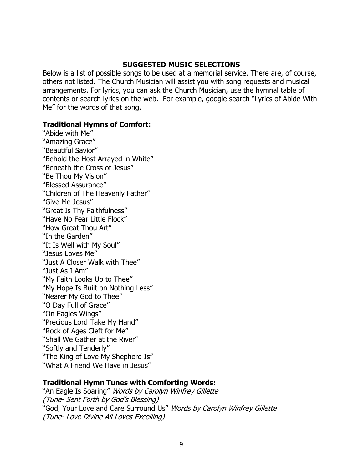#### **SUGGESTED MUSIC SELECTIONS**

Below is a list of possible songs to be used at a memorial service. There are, of course, others not listed. The Church Musician will assist you with song requests and musical arrangements. For lyrics, you can ask the Church Musician, use the hymnal table of contents or search lyrics on the web. For example, google search "Lyrics of Abide With Me" for the words of that song.

#### **Traditional Hymns of Comfort:**

"Abide with Me" "Amazing Grace" "Beautiful Savior" "Behold the Host Arrayed in White" "Beneath the Cross of Jesus" "Be Thou My Vision" "Blessed Assurance" "Children of The Heavenly Father" "Give Me Jesus" "Great Is Thy Faithfulness" "Have No Fear Little Flock" "How Great Thou Art" "In the Garden" "It Is Well with My Soul" "Jesus Loves Me" "Just A Closer Walk with Thee" "Just As I Am" "My Faith Looks Up to Thee" "My Hope Is Built on Nothing Less" "Nearer My God to Thee" "O Day Full of Grace" "On Eagles Wings" "Precious Lord Take My Hand" "Rock of Ages Cleft for Me" "Shall We Gather at the River" "Softly and Tenderly" "The King of Love My Shepherd Is" "What A Friend We Have in Jesus"

#### **Traditional Hymn Tunes with Comforting Words:**

"An Eagle Is Soaring" Words by Carolyn Winfrey Gillette (Tune- Sent Forth by God's Blessing) "God, Your Love and Care Surround Us" Words by Carolyn Winfrey Gillette (Tune- Love Divine All Loves Excelling)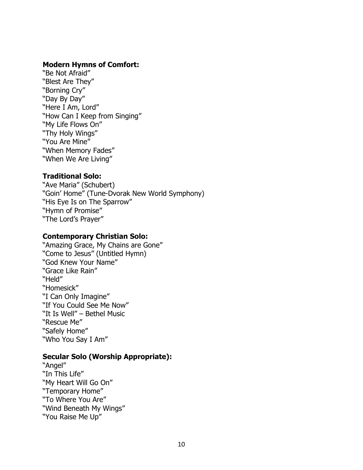#### **Modern Hymns of Comfort:**

"Be Not Afraid" "Blest Are They" "Borning Cry" "Day By Day" "Here I Am, Lord" "How Can I Keep from Singing" "My Life Flows On" "Thy Holy Wings" "You Are Mine" "When Memory Fades" "When We Are Living"

## **Traditional Solo:**

"Ave Maria" (Schubert) "Goin' Home" (Tune-Dvorak New World Symphony) "His Eye Is on The Sparrow" "Hymn of Promise" "The Lord's Prayer"

## **Contemporary Christian Solo:**

"Amazing Grace, My Chains are Gone" "Come to Jesus" (Untitled Hymn) "God Knew Your Name" "Grace Like Rain" "Held" "Homesick" "I Can Only Imagine" "If You Could See Me Now" "It Is Well" – Bethel Music "Rescue Me" "Safely Home" "Who You Say I Am"

#### **Secular Solo (Worship Appropriate):**

"Angel" "In This Life" "My Heart Will Go On" "Temporary Home" "To Where You Are" "Wind Beneath My Wings" "You Raise Me Up"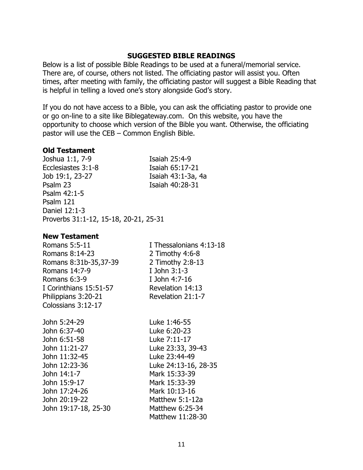#### **SUGGESTED BIBLE READINGS**

Below is a list of possible Bible Readings to be used at a funeral/memorial service. There are, of course, others not listed. The officiating pastor will assist you. Often times, after meeting with family, the officiating pastor will suggest a Bible Reading that is helpful in telling a loved one's story alongside God's story.

If you do not have access to a Bible, you can ask the officiating pastor to provide one or go on-line to a site like Biblegateway.com. On this website, you have the opportunity to choose which version of the Bible you want. Otherwise, the officiating pastor will use the CEB – Common English Bible.

#### **Old Testament**

Joshua 1:1, 7-9 Isaiah 25:4-9 Ecclesiastes 3:1-8 Isaiah 65:17-21 Job 19:1, 23-27 Isaiah 43:1-3a, 4a Psalm 23 Isaiah 40:28-31 Psalm 42:1-5 Psalm 121 Daniel 12:1-3 Proverbs 31:1-12, 15-18, 20-21, 25-31

#### **New Testament**

| Romans 5:5-11          | I Thessalonians 4:13-18 |
|------------------------|-------------------------|
| Romans 8:14-23         | 2 Timothy 4:6-8         |
| Romans 8:31b-35,37-39  | 2 Timothy 2:8-13        |
| Romans 14:7-9          | I John 3:1-3            |
| Romans 6:3-9           | I John 4:7-16           |
| I Corinthians 15:51-57 | Revelation 14:13        |
| Philippians 3:20-21    | Revelation 21:1-7       |
| Colossians 3:12-17     |                         |
| John 5:24-29           | Luke 1:46-55            |
| John 6:37-40           | Luke 6:20-23            |
| John 6:51-58           | Luke 7:11-17            |
| John 11:21-27          | Luke 23:33, 39-43       |
| John 11:32-45          | Luke 23:44-49           |
| John 12:23-36          | Luke 24:13-16, 28-35    |
| John 14:1-7            | Mark 15:33-39           |
| John 15:9-17           | Mark 15:33-39           |
| John 17:24-26          | Mark 10:13-16           |
| John 20:19-22          | Matthew 5:1-12a         |
| John 19:17-18, 25-30   | Matthew 6:25-34         |
|                        | Matthew 11:28-30        |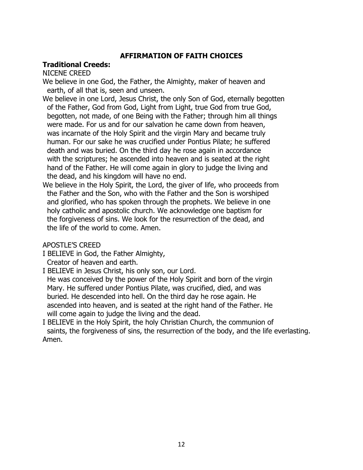## **AFFIRMATION OF FAITH CHOICES**

#### **Traditional Creeds:**

NICENE CREED

We believe in one God, the Father, the Almighty, maker of heaven and earth, of all that is, seen and unseen.

- We believe in one Lord, Jesus Christ, the only Son of God, eternally begotten of the Father, God from God, Light from Light, true God from true God, begotten, not made, of one Being with the Father; through him all things were made. For us and for our salvation he came down from heaven, was incarnate of the Holy Spirit and the virgin Mary and became truly human. For our sake he was crucified under Pontius Pilate; he suffered death and was buried. On the third day he rose again in accordance with the scriptures; he ascended into heaven and is seated at the right hand of the Father. He will come again in glory to judge the living and the dead, and his kingdom will have no end.
- We believe in the Holy Spirit, the Lord, the giver of life, who proceeds from the Father and the Son, who with the Father and the Son is worshiped and glorified, who has spoken through the prophets. We believe in one holy catholic and apostolic church. We acknowledge one baptism for the forgiveness of sins. We look for the resurrection of the dead, and the life of the world to come. Amen.

APOSTLE'S CREED

- I BELIEVE in God, the Father Almighty, Creator of heaven and earth.
- I BELIEVE in Jesus Christ, his only son, our Lord.
- He was conceived by the power of the Holy Spirit and born of the virgin Mary. He suffered under Pontius Pilate, was crucified, died, and was buried. He descended into hell. On the third day he rose again. He ascended into heaven, and is seated at the right hand of the Father. He will come again to judge the living and the dead.

I BELIEVE in the Holy Spirit, the holy Christian Church, the communion of saints, the forgiveness of sins, the resurrection of the body, and the life everlasting. Amen.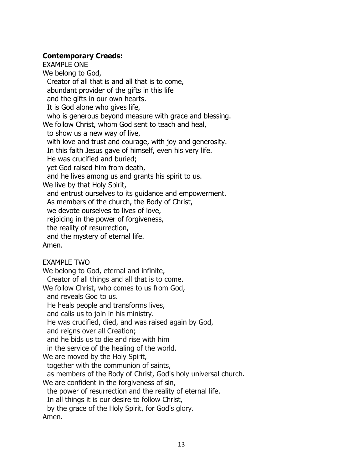## **Contemporary Creeds:**

EXAMPLE ONE We belong to God, Creator of all that is and all that is to come, abundant provider of the gifts in this life and the gifts in our own hearts. It is God alone who gives life, who is generous beyond measure with grace and blessing. We follow Christ, whom God sent to teach and heal, to show us a new way of live, with love and trust and courage, with joy and generosity. In this faith Jesus gave of himself, even his very life. He was crucified and buried; yet God raised him from death, and he lives among us and grants his spirit to us. We live by that Holy Spirit, and entrust ourselves to its guidance and empowerment. As members of the church, the Body of Christ, we devote ourselves to lives of love, rejoicing in the power of forgiveness, the reality of resurrection, and the mystery of eternal life. Amen. EXAMPLE TWO We belong to God, eternal and infinite, Creator of all things and all that is to come. We follow Christ, who comes to us from God,

and reveals God to us.

He heals people and transforms lives,

and calls us to join in his ministry.

He was crucified, died, and was raised again by God,

and reigns over all Creation;

and he bids us to die and rise with him

in the service of the healing of the world.

We are moved by the Holy Spirit,

together with the communion of saints,

as members of the Body of Christ, God's holy universal church.

We are confident in the forgiveness of sin,

the power of resurrection and the reality of eternal life.

In all things it is our desire to follow Christ,

by the grace of the Holy Spirit, for God's glory.

Amen.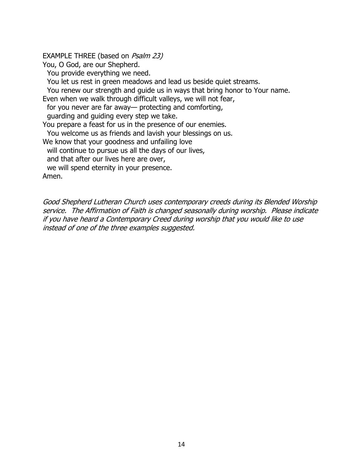EXAMPLE THREE (based on Psalm 23)

You, O God, are our Shepherd.

You provide everything we need.

You let us rest in green meadows and lead us beside quiet streams.

You renew our strength and guide us in ways that bring honor to Your name.

Even when we walk through difficult valleys, we will not fear,

for you never are far away— protecting and comforting,

guarding and guiding every step we take.

You prepare a feast for us in the presence of our enemies.

You welcome us as friends and lavish your blessings on us.

We know that your goodness and unfailing love

will continue to pursue us all the days of our lives,

and that after our lives here are over,

we will spend eternity in your presence.

Amen.

Good Shepherd Lutheran Church uses contemporary creeds during its Blended Worship service. The Affirmation of Faith is changed seasonally during worship. Please indicate if you have heard a Contemporary Creed during worship that you would like to use instead of one of the three examples suggested.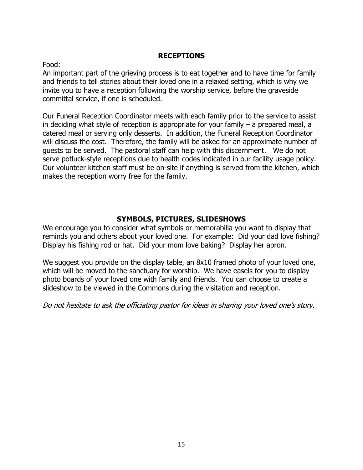## **RECEPTIONS**

Food:

An important part of the grieving process is to eat together and to have time for family and friends to tell stories about their loved one in a relaxed setting, which is why we invite you to have a reception following the worship service, before the graveside committal service, if one is scheduled.

Our Funeral Reception Coordinator meets with each family prior to the service to assist in deciding what style of reception is appropriate for your family – a prepared meal, a catered meal or serving only desserts. In addition, the Funeral Reception Coordinator will discuss the cost. Therefore, the family will be asked for an approximate number of guests to be served. The pastoral staff can help with this discernment. We do not serve potluck-style receptions due to health codes indicated in our facility usage policy. Our volunteer kitchen staff must be on-site if anything is served from the kitchen, which makes the reception worry free for the family.

# **SYMBOLS, PICTURES, SLIDESHOWS**

We encourage you to consider what symbols or memorabilia you want to display that reminds you and others about your loved one. For example: Did your dad love fishing? Display his fishing rod or hat. Did your mom love baking? Display her apron.

We suggest you provide on the display table, an 8x10 framed photo of your loved one, which will be moved to the sanctuary for worship. We have easels for you to display photo boards of your loved one with family and friends. You can choose to create a slideshow to be viewed in the Commons during the visitation and reception.

Do not hesitate to ask the officiating pastor for ideas in sharing your loved one's story.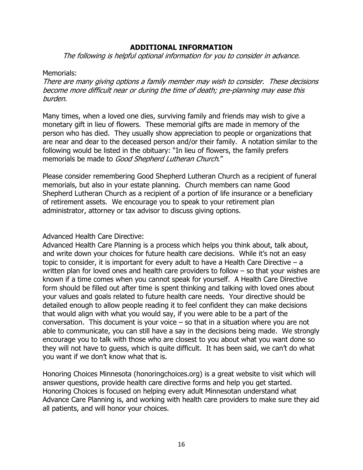## **ADDITIONAL INFORMATION**

The following is helpful optional information for you to consider in advance.

#### Memorials:

There are many giving options a family member may wish to consider. These decisions become more difficult near or during the time of death; pre-planning may ease this burden.

Many times, when a loved one dies, surviving family and friends may wish to give a monetary gift in lieu of flowers. These memorial gifts are made in memory of the person who has died. They usually show appreciation to people or organizations that are near and dear to the deceased person and/or their family. A notation similar to the following would be listed in the obituary: "In lieu of flowers, the family prefers memorials be made to Good Shepherd Lutheran Church."

Please consider remembering Good Shepherd Lutheran Church as a recipient of funeral memorials, but also in your estate planning. Church members can name Good Shepherd Lutheran Church as a recipient of a portion of life insurance or a beneficiary of retirement assets. We encourage you to speak to your retirement plan administrator, attorney or tax advisor to discuss giving options.

Advanced Health Care Directive:

Advanced Health Care Planning is a process which helps you think about, talk about, and write down your choices for future health care decisions. While it's not an easy topic to consider, it is important for every adult to have a Health Care Directive – a written plan for loved ones and health care providers to follow – so that your wishes are known if a time comes when you cannot speak for yourself. A Health Care Directive form should be filled out after time is spent thinking and talking with loved ones about your values and goals related to future health care needs. Your directive should be detailed enough to allow people reading it to feel confident they can make decisions that would align with what you would say, if you were able to be a part of the conversation. This document is your voice  $-$  so that in a situation where you are not able to communicate, you can still have a say in the decisions being made. We strongly encourage you to talk with those who are closest to you about what you want done so they will not have to guess, which is quite difficult. It has been said, we can't do what you want if we don't know what that is.

Honoring Choices Minnesota (honoringchoices.org) is a great website to visit which will answer questions, provide health care directive forms and help you get started. Honoring Choices is focused on helping every adult Minnesotan understand what Advance Care Planning is, and working with health care providers to make sure they aid all patients, and will honor your choices.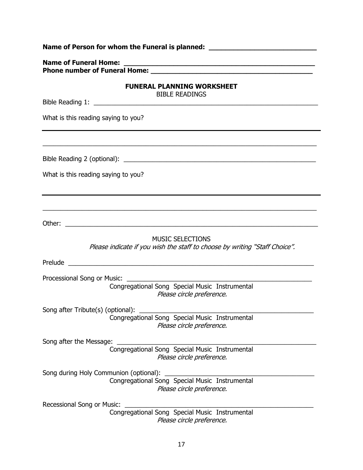| Name of Person for whom the Funeral is planned: ________________________________<br><b>FUNERAL PLANNING WORKSHEET</b><br><b>BIBLE READINGS</b> |                                                                                                       |  |                                     |  |
|------------------------------------------------------------------------------------------------------------------------------------------------|-------------------------------------------------------------------------------------------------------|--|-------------------------------------|--|
|                                                                                                                                                |                                                                                                       |  |                                     |  |
|                                                                                                                                                |                                                                                                       |  | What is this reading saying to you? |  |
|                                                                                                                                                |                                                                                                       |  |                                     |  |
| What is this reading saying to you?                                                                                                            |                                                                                                       |  |                                     |  |
|                                                                                                                                                |                                                                                                       |  |                                     |  |
|                                                                                                                                                |                                                                                                       |  |                                     |  |
|                                                                                                                                                | <b>MUSIC SELECTIONS</b><br>Please indicate if you wish the staff to choose by writing "Staff Choice". |  |                                     |  |
|                                                                                                                                                |                                                                                                       |  |                                     |  |
| Processional Song or Music:                                                                                                                    |                                                                                                       |  |                                     |  |
|                                                                                                                                                | Congregational Song Special Music Instrumental<br>Please circle preference.                           |  |                                     |  |
| Song after Tribute(s) (optional):                                                                                                              |                                                                                                       |  |                                     |  |
|                                                                                                                                                | Congregational Song Special Music Instrumental<br>Please circle preference.                           |  |                                     |  |
| Song after the Message:                                                                                                                        |                                                                                                       |  |                                     |  |
|                                                                                                                                                | Congregational Song Special Music Instrumental<br>Please circle preference.                           |  |                                     |  |
| Song during Holy Communion (optional):                                                                                                         |                                                                                                       |  |                                     |  |
|                                                                                                                                                | Congregational Song Special Music Instrumental<br>Please circle preference.                           |  |                                     |  |
| Recessional Song or Music:                                                                                                                     |                                                                                                       |  |                                     |  |
|                                                                                                                                                | Congregational Song Special Music Instrumental<br>Please circle preference.                           |  |                                     |  |